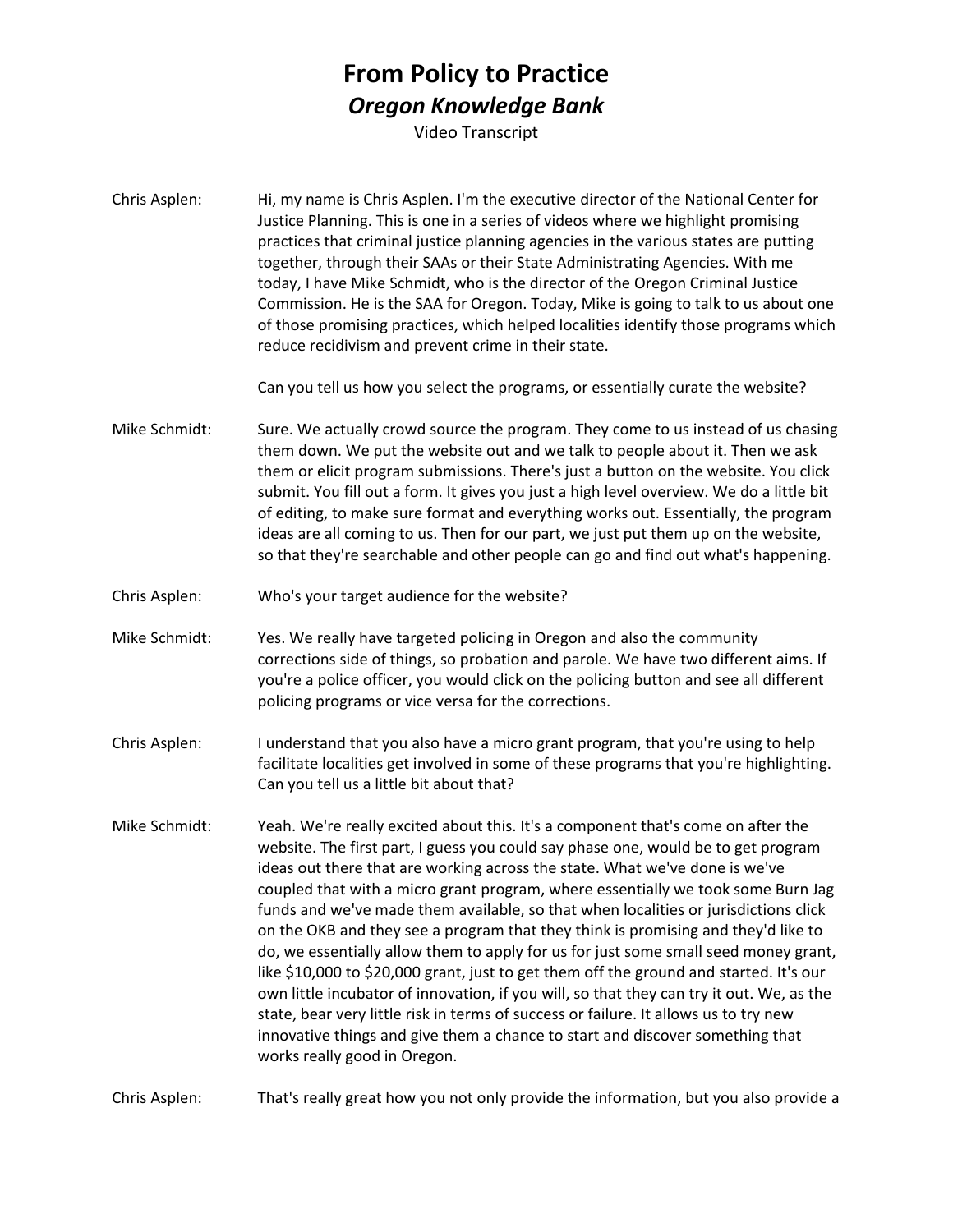## **From Policy to Practice** *Oregon Knowledge Bank*

Video Transcript

Chris Asplen: Hi, my name is Chris Asplen. I'm the executive director of the National Center for Justice Planning. This is one in a series of videos where we highlight promising practices that criminal justice planning agencies in the various states are putting together, through their SAAs or their State Administrating Agencies. With me today, I have Mike Schmidt, who is the director of the Oregon Criminal Justice Commission. He is the SAA for Oregon. Today, Mike is going to talk to us about one of those promising practices, which helped localities identify those programs which reduce recidivism and prevent crime in their state.

Can you tell us how you select the programs, or essentially curate the website?

- Mike Schmidt: Sure. We actually crowd source the program. They come to us instead of us chasing them down. We put the website out and we talk to people about it. Then we ask them or elicit program submissions. There's just a button on the website. You click submit. You fill out a form. It gives you just a high level overview. We do a little bit of editing, to make sure format and everything works out. Essentially, the program ideas are all coming to us. Then for our part, we just put them up on the website, so that they're searchable and other people can go and find out what's happening.
- Chris Asplen: Who's your target audience for the website?
- Mike Schmidt: Yes. We really have targeted policing in Oregon and also the community corrections side of things, so probation and parole. We have two different aims. If you're a police officer, you would click on the policing button and see all different policing programs or vice versa for the corrections.
- Chris Asplen: I understand that you also have a micro grant program, that you're using to help facilitate localities get involved in some of these programs that you're highlighting. Can you tell us a little bit about that?
- Mike Schmidt: Yeah. We're really excited about this. It's a component that's come on after the website. The first part, I guess you could say phase one, would be to get program ideas out there that are working across the state. What we've done is we've coupled that with a micro grant program, where essentially we took some Burn Jag funds and we've made them available, so that when localities or jurisdictions click on the OKB and they see a program that they think is promising and they'd like to do, we essentially allow them to apply for us for just some small seed money grant, like \$10,000 to \$20,000 grant, just to get them off the ground and started. It's our own little incubator of innovation, if you will, so that they can try it out. We, as the state, bear very little risk in terms of success or failure. It allows us to try new innovative things and give them a chance to start and discover something that works really good in Oregon.

Chris Asplen: That's really great how you not only provide the information, but you also provide a